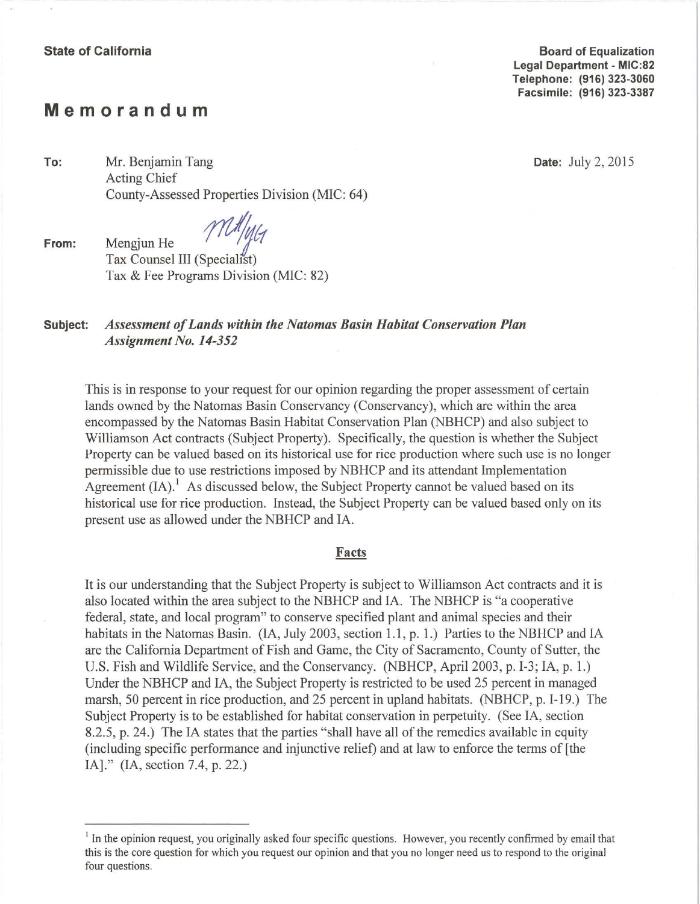**Board of Equalization Legal Department - MIC:82 Telephone: (916) 323-3060 Facsimile: (916) 323-3387** 

# **Memorandum**

**To:** Mr. Benjamin Tang **Date:** July2 , 2015 Acting Chief County-Assessed Properties Division (MIC: 64)

**From:** *Mengjun He* Tax Counsel III (Specialist) Tax & Fee Programs Division (MIC: 82)

## **Subject:** *Assessment of Lands within the Natomas Basin Habitat Conservation Plan Assignment No. 14-352*

This is in response to your request for our opinion regarding the proper assessment of certain lands owned by the Natomas Basin Conservancy (Conservancy), which are within the area encompassed by the Natomas Basin Habitat Conservation Plan (NBHCP) and also subject to Williamson Act contracts (Subject Property). Specifically, the question is whether the Subject Property can be valued based on its historical use for rice production where such use is no longer permissible due to use restrictions imposed by NBHCP and its attendant Implementation Agreement  $(IA)^1$ . As discussed below, the Subject Property cannot be valued based on its historical use for rice production. Instead, the Subject Property can be valued based only on its present use as allowed under the NBHCP and IA .

#### Facts

It is our understanding that the Subject Property is subject to Williamson Act contracts and it is also located within the area subject to the NBHCP and IA. The NBHCP is "a cooperative federal, state, and local program" to conserve specified plant and animal species and their habitats in the Natomas Basin. (IA, July 2003, section 1.1, p. 1.) Parties to the NBHCP and IA are the California Department of Fish and Game, the City of Sacramento, County of Sutter, the U.S. Fish and Wildlife Service, and the Conservancy. (NBHCP, April 2003, p. I-3; IA, p. 1.) Under the NBHCP and IA, the Subject Property is restricted to be used 25 percent in managed marsh, 50 percent in rice production, and 25 percent in upland habitats. (NBHCP, p. I-19.) The Subject Property is to be established for habitat conservation in perpetuity. (See IA, section 8.2.5, p. 24.) The IA states that the parties "shall have all of the remedies available in equity (including specific performance and injunctive relief) and at law to enforce the term s of [the IA]." (IA, section 7.4, p. 22.)

<sup>&</sup>lt;sup>1</sup> In the opinion request, you originally asked four specific questions. However, you recently confirmed by email that this is the core question for which you request our opinion and that you no longer need us to respond to the original four questions.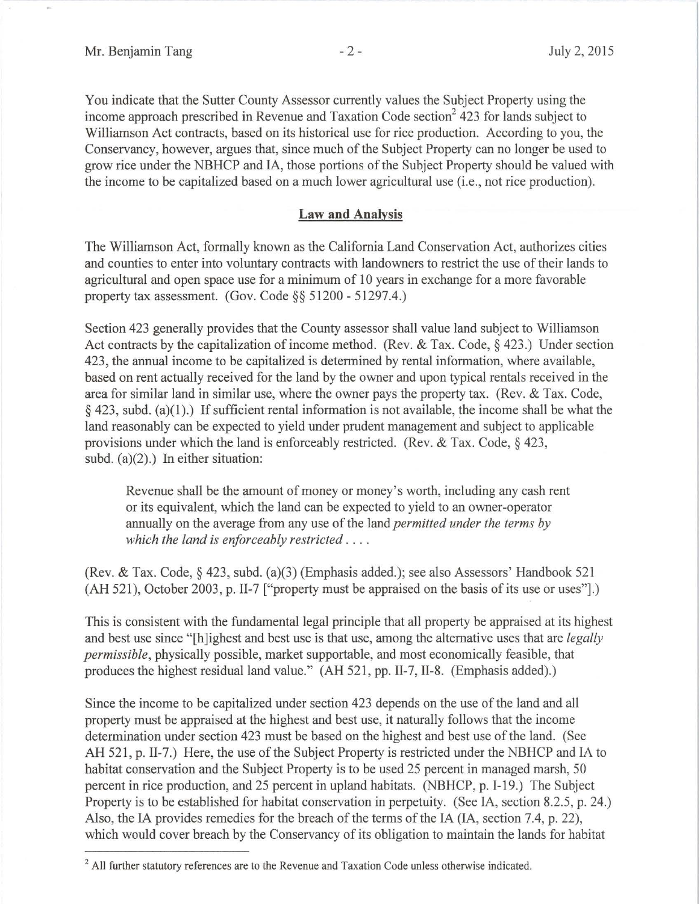You indicate that the Sutter County Assessor currently values the Subject Property using the income approach prescribed in Revenue and Taxation Code section<sup>2</sup> 423 for lands subject to Williamson Act contracts, based on its historical use for rice production. According to you, the Conservancy, however, argues that, since much of the Subject Property can no longer be used to grow rice under the NBHCP and IA, those portions of the Subject Property should be valued with the income to be capitalized based on a much lower agricultural use (i.e., not rice production).

### **Law and Analysis**

The Williamson Act, formally known as the California Land Conservation Act, authorizes cities and counties to enter into voluntary contracts with landowners to restrict the use of their lands to agricultural and open space use for a minimum of 10 years in exchange for a more favorable property tax assessment. (Gov. Code§§ 51200 - 51297.4.)

Section 423 generally provides that the County assessor shall value land subject to Williamson Act contracts by the capitalization of income method. (Rev. & Tax. Code,  $\S$  423.) Under section 423, the annual income to be capitalized is determined by rental information, where available, based on rent actually received for the land by the owner and upon typical rentals received in the area for similar land in similar use, where the owner pays the property tax. (Rev. & Tax. Code,  $§$  423, subd. (a)(1).) If sufficient rental information is not available, the income shall be what the land reasonably can be expected to yield under prudent management and subject to applicable provisions under which the land is enforceably restricted. (Rev. & Tax. Code,  $\frac{1}{2}$  423, subd. (a)(2).) In either situation:

Revenue shall be the amount of money or money's worth, including any cash rent or its equivalent, which the land can be expected to yield to an owner-operator annually on the average from any use of the land *permitted under the terms by which the land is enforceably restricted* . . ..

(Rev. & Tax. Code,§ 423, subd. (a)(3) (Emphasis added.) ; see also Assessors' Handbook 521 (AH 521), October 2003, p. II-7 ["property must be appraised on the basis of its use or uses"].)

This is consistent with the fundamental legal principle that all property be appraised at its highest and best use since "[h]ighest and best use is that use, among the alternative uses that are *legally permissible*, physically possible, market supportable, and most economically feasible, that produces the highest residual land value." (AH 521, pp. 11-7, 11-8. (Emphasis added).)

Since the income to be capitalized under section 423 depends on the use of the land and all property must be appraised at the highest and best use, it naturally follows that the income determination under section 423 must be based on the highest and best use of the land. (See AH 521, p. 11-7.) Here, the use of the Subject Property is restricted under the NBHCP and IA to habitat conservation and the Subject Property is to be used 25 percent in managed marsh, 50 percent in rice production, and 25 percent in upland habitats. (NBHCP, p. 1-19.) The Subject Property is to be established for habitat conservation in perpetuity. (See IA, section 8.2.5, p. 24.) Also, the IA provides remedies for the breach of the terms of the IA (IA, section 7.4, p. 22), which would cover breach by the Conservancy of its obligation to maintain the lands for habitat

 $2$  All further statutory references are to the Revenue and Taxation Code unless otherwise indicated.